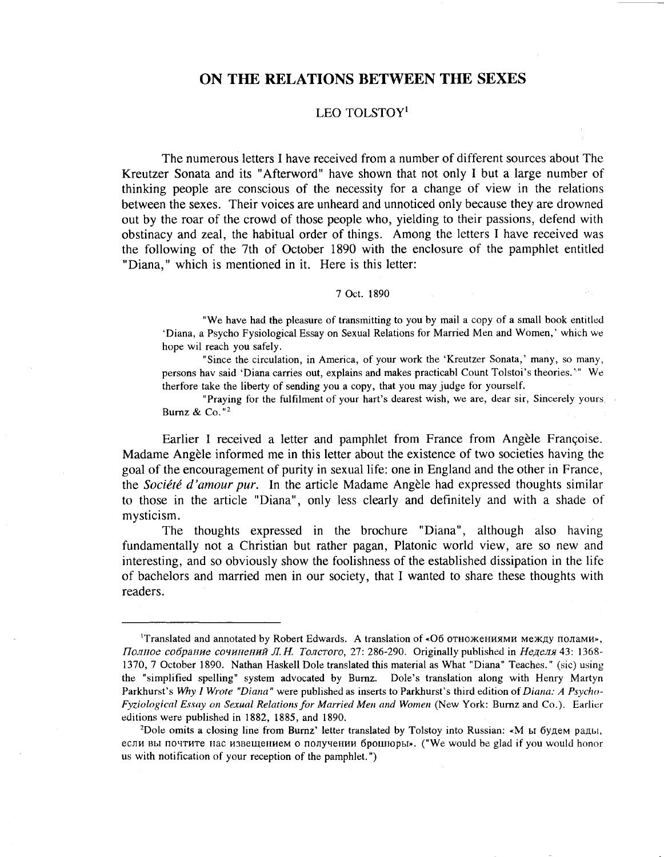# ON THE RELATIONS BETWEEN THE SEXES

### LEO TOLSTOY<sup>1</sup>

The numerous letters I have received from a number of different sources'about The Kreutzer Sonata and its "Afterword" have shown that not only I but a large number of thinking people are conscious of the necessity for a change of view in the relations between the sexes. Their voices are unheard and unnoticed only because they are drowned out by the roar of the crowd of those people who, yielding to their passions, defend with obstinacy and zeal, the habitual order of things. Among the letters I have received was the following of the 7th of October 1890 with the enclosure of the pamphlet entitled "Diana," which is mentioned in it. Here is this letter:

#### 7 Oct. 1890

"We have had the pleasure of transmitting to you by mail a copy of a small book entitled 'Diana, a Psycho Fysiological Essay on Sexual Relations for Married Men and Women,' which we hope wil reach you safely.

"Since the circulation, in America, of your work the 'Kreutzer Sonata,' many, so many, persons hav said 'Diana carries out, explains and makes practicabl Count Tolstoi's theories.'<sup>14</sup> We therfore take the liberty of sending you a copy, that you may judge for yourself.

"Praying for the fulfilment of your hart's dearest wish, we are, dear sir, Sincerely yours. Burnz & Co. "2

Earlier I received a letter and pamphlet from France from Angèle Françoise. Madame Angele informed me in this letter about the existence of two societies having the goal of the encouragement of purity in sexual life: one in England and the other in France, the *Société d'amour pur*. In the article Madame Angèle had expressed thoughts similar to those in the article "Diana", only less clearly and definitely and with a shade of mysticism.

The thoughts expressed in the brochure "Diana", although also having fundamentally not a Christian but rather pagan, Platonic world view, are so new and interesting, and so obviously show the foolishness of the established dissipation in the life of bachelors and married men in our society, that I wanted to share these thoughts with readers.

<sup>&</sup>lt;sup>1</sup>Translated and annotated by Robert Edwards. A translation of «Об отножениями между полами», Полное собрание сочинений Л. Н. Толстого, 27: 286-290. Originally published in Неделя 43: 1368-1370,7 October 1890. Nathan Haskell Dole translated this material as What "Diana" Teaches." (sic) using the "simplified spelling" system advocated by Bumz. Dole's translation along with Henry Martyn Parkhurst's *Why I Wrote "Diana"* were published as inserts to Parkhurst's third edition of *Diana: A Psycho-Fyziological Essay on Sexual Relationsfor Married Men and Women* (New York: Burnz and Co.). Earlier editions were published in 1882, 1885, and 1890.

<sup>&</sup>lt;sup>2</sup>Dole omits a closing line from Burnz' letter translated by Tolstoy into Russian: «M  $\mu$  M 6Y, pa, pa, and pa, если вы почтите нас извещением о получении брошюры». ("We would be glad if you would honor us with notification of your reception of the pamphlet.")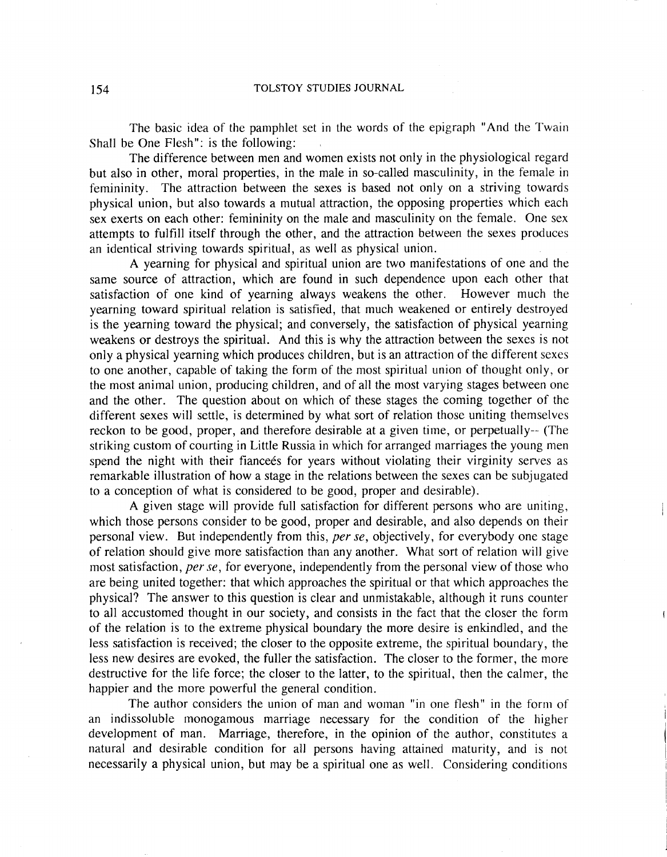The basic idea of the pamphlet set in the words of the epigraph "And the Twain Shall be One Flesh": is the following:

The difference between men and women exists not only in the physiological regard but also in other, moral properties, in the male in so-called masculinity, in the female in femininity. The attraction between the sexes is based not only on a striving towards physical union, but also towards a mutual attraction, the opposing properties which each sex exerts on each other: femininity on the male and masculinity on the female. One sex attempts to fulfill itself through the other, and the attraction between the sexes produces an identical striving towards spiritual, as well as physical union.

A yearning for physical and spiritual union are two manifestations of one and the same source of attraction, which are found in such dependence upon each other that satisfaction of one kind of yearning always weakens the other. However much the yearning toward spiritual relation is satisfied, that much weakened or entirely destroyed is the yearning toward the physical; and conversely, the satisfaction of physical yearning weakens or destroys the spiritual. And this is why the attraction between the sexes is not only a physical yearning which produces children, but is an attraction of the different sexes to one another, capable of taking the form of the most spiritual union of thought only, or the most animal union, producing children, and of all the most varying stages between one and the other. The question about on which of these stages the coming together of the different sexes will settle, is determined by what sort of relation those uniting themselves reckon to be good, proper, and therefore desirable at a given time, or perpetually-- (The striking custom of courting in Little Russia in which for arranged marriages the young men spend the night with their fiance is for years without violating their virginity serves as remarkable illustration of how a stage in the relations between the sexes can be subjugated to a conception of what is considered to be good, proper and desirable).

A given stage will provide full satisfaction for different persons who are uniting, which those persons consider to be good, proper and desirable, and also depends on their personal view. But independently from this, *per se,* objectively, for everybody one stage of relation should give more satisfaction than any another. What sort of relation will give most satisfaction, *per se,* for everyone, independently from the personal view of those who are being united together: that which approaches the spiritual or that which approaches the physical? The answer to this question is clear and unmistakable, although it runs counter to all accustomed thought in our society, and consists in the fact that the closer the form of the relation is to the extreme physical boundary the more desire is enkindled, and the less satisfaction is received; the closer to the opposite extreme, the spiritual boundary, the less new desires are evoked, the fuller the satisfaction. The closer to the former, the more destructive for the life force; the closer to the latter, to the spiritual, then the calmer, the happier and the more powerful the general condition.

The author considers the union of man and woman "in one flesh" in the form of an indissoluble monogamous marriage necessary for the condition of the higher development of man. Marriage, therefore, in the opinion of the author, constitutes a natural and desirable condition for all persons having attained maturity, and is not necessarily a physical union, but may be a spiritual one as well. Considering conditions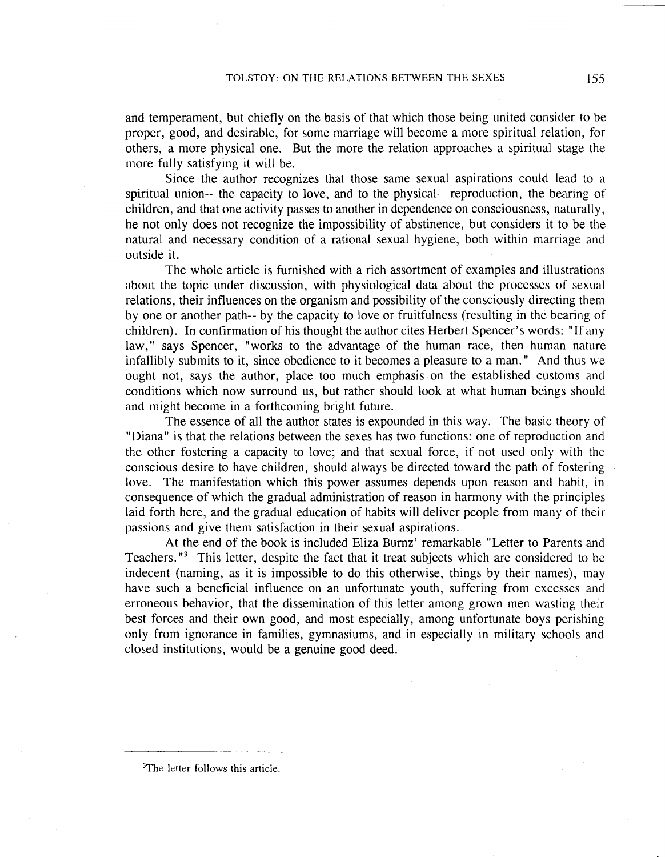and temperament, but chiefly on the basis of that which those being united consider to be proper, good, and desirable, for some marriage will become a more spiritual relation, for others, a more physical one. But the more the relation approaches a spiritual stage the more fully satisfying it will be.

Since the author recognizes that those same sexual aspirations could lead to a spiritual union-- the capacity to love, and to the physical-- reproduction, the bearing of children, and that one activity passes to another in dependence on consciousness, naturally, he not only does not recognize the impossibility of abstinence, but considers it to be the natural and necessary condition of a rational sexual hygiene; both within marriage and outside it.

The whole article is furnished with a rich assortment of examples and illustrations about the topic under discussion, with physiological data about the processes of sexual relations, their influences on the organism and possibility of the consciously directing them by one or another path-- by the capacity to love or fruitfulness (resulting in the bearing of children). In confirmation of his thought the author cites Herbert Spencer's words: "If any law," says Spencer, "works to the advantage of the human race, then human nature infallibly submits to it, since obedience to it becomes a pleasure to a man." And thus we ought not, says the author, place too much emphasis on the established customs and conditions which now surround us, but rather should look at what human beings should and might become in a forthcoming bright future.

The essence of all the author states is expounded in this way. The basic theory of "Diana" is that the relations between the sexes has two functions: one of reproduction and the other fostering a capacity to love; and that sexual force, if not used only with the conscious desire to have children, should always be directed toward the path of fostering love. The manifestation which this power assumes depends upon reason and habit, in consequence of which the gradual administration of reason in harmony with the principles laid forth here, and the gradual education of habits will deliver people from many of their passions and give them satisfaction in their sexual aspirations.

At the end of the book is included Eliza Burnz' remarkable "Letter to Parents and Teachers. "3 This letter, despite the fact that it treat subjects which are considered to be indecent (naming, as it is impossible to do this otherwise, things by their names), may have such a beneficial influence on an unfortunate youth, suffering from excesses and erroneous behavior, that the dissemination of this letter among grown men wasting their best forces and their own good, and most especially, among unfortunate boys perishing only from ignorance in families, gymnasiums, and in especially in military schools and closed institutions, would be a genuine good deed.

<sup>&</sup>lt;sup>3</sup>The letter follows this article.